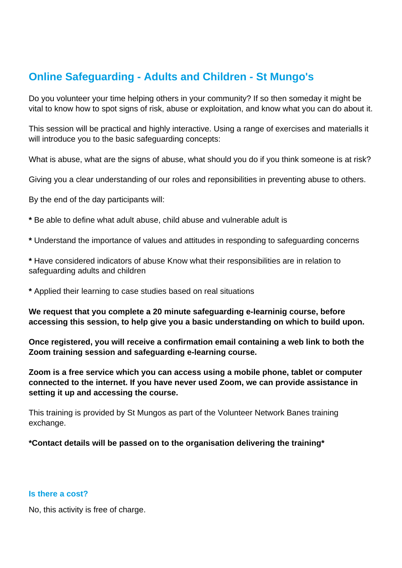# **Online Safeguarding - Adults and Children - St Mungo's**

Do you volunteer your time helping others in your community? If so then someday it might be vital to know how to spot signs of risk, abuse or exploitation, and know what you can do about it.

This session will be practical and highly interactive. Using a range of exercises and materialls it will introduce you to the basic safeguarding concepts:

What is abuse, what are the signs of abuse, what should you do if you think someone is at risk?

Giving you a clear understanding of our roles and reponsibilities in preventing abuse to others.

By the end of the day participants will:

- **\*** Be able to define what adult abuse, child abuse and vulnerable adult is
- **\*** Understand the importance of values and attitudes in responding to safeguarding concerns
- **\*** Have considered indicators of abuse Know what their responsibilities are in relation to safeguarding adults and children
- **\*** Applied their learning to case studies based on real situations

**We request that you complete a 20 minute safeguarding e-learninig course, before accessing this session, to help give you a basic understanding on which to build upon.** 

**Once registered, you will receive a confirmation email containing a web link to both the Zoom training session and safeguarding e-learning course.**

**Zoom is a free service which you can access using a mobile phone, tablet or computer connected to the internet. If you have never used Zoom, we can provide assistance in setting it up and accessing the course.**

This training is provided by St Mungos as part of the Volunteer Network Banes training exchange.

**\*Contact details will be passed on to the organisation delivering the training\***

#### **Is there a cost?**

No, this activity is free of charge.